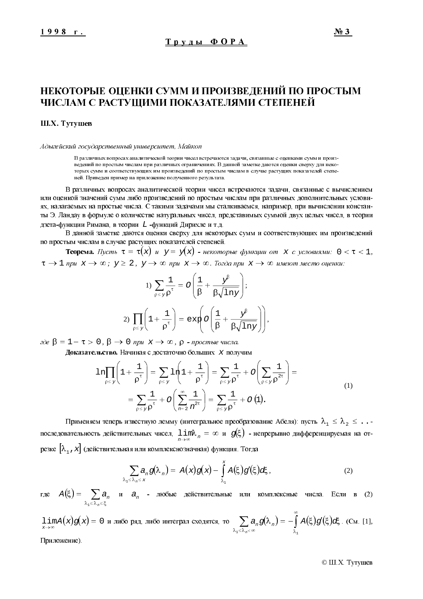# НЕКОТОРЫЕ ОЦЕНКИ СУММ И ПРОИЗВЕДЕНИЙ ПО ПРОСТЫМ ЧИСЛАМ С РАСТУЩИМИ ПОКАЗАТЕЛЯМИ СТЕПЕНЕЙ

#### Ш.Х. Тутушев

Адыгейский государственный университет, Майкоп

В различных вопросах аналитической теории чисел встречаются залачи, связанные с опенками сумм и произведений по простым числам при различных ограничениях. В данной заметке даются оценки сверху для некоторых сумм и соответствующих им произведений по простым числам в случае растущих показателей степеней. Приведен пример на приложение полученного результата.

В различных вопросах аналитической теории чисел встречаются задачи, связанные с вычислением или оценкой значений сумм либо произведений по простым числам при различных дополнительных условиях, налагаемых на простые числа. С такими задачами мы сталкиваемся, например, при вычислении константы Э. Ландау в форму ле о количестве натуральных чисел, представимых суммой двух целых чисел, в теории дзета-функции Римана, в теории L-функций Дирихле и т.д.

В данной заметке даются оценки сверху для некоторых сумм и соответствующих им произведений по простым числам в случае растущих показателей степеней.

**Теорема.** Пусть  $\tau = \tau(x)$  и  $y = y(x)$  - некоторые функции от x с условиями:  $0 < \tau < 1$ ,  $\tau \to 1$  при  $x \to \infty$ ;  $y \ge 2$ ,  $y \to \infty$  при  $x \to \infty$ . Тогда при  $x \to \infty$  имеют место оценки:

1) 
$$
\sum_{\rho \leq y} \frac{1}{\rho^{\tau}} = O\left(\frac{1}{\beta} + \frac{y^{\beta}}{\beta \sqrt{\ln y}}\right);
$$
  
2) 
$$
\prod_{\rho \leq y} \left(1 + \frac{1}{\rho^{\tau}}\right) = \exp\left(O\left(\frac{1}{\beta} + \frac{y^{\beta}}{\beta \sqrt{\ln y}}\right)\right)
$$

 $\partial$ εδε β = 1 − τ > 0, β → 0 npu x → ∞, ρ - простые числа.

Доказательство. Начиная с достаточно больших х получим

$$
\ln \prod_{\rho \leq y} \left( 1 + \frac{1}{\rho^{\tau}} \right) = \sum_{\rho \leq y} \ln \left( 1 + \frac{1}{\rho^{\tau}} \right) = \sum_{\rho \leq y} \frac{1}{\rho^{\tau}} + O \left( \sum_{\rho \leq y} \frac{1}{\rho^{2\tau}} \right) =
$$
\n
$$
= \sum_{\rho \leq y} \frac{1}{\rho^{\tau}} + O \left( \sum_{n=2}^{\infty} \frac{1}{n^{2\tau}} \right) = \sum_{\rho \leq y} \frac{1}{\rho^{\tau}} + O \left( 1 \right).
$$
\n(1)

Применяем теперь известную лемму (интегральное преобразование Абеля): пусть  $\lambda_1 \leq \lambda_2 \leq \ldots$ последовательность действительных чисел,  $\lim_{n\to\infty} \lambda_n = \infty$  и  $g(\xi)$  - непрерывно дифференцируемая на отрезке  $[\lambda, x]$  (действительная или комплекснозначная) функция. Тогда

$$
\sum_{\lambda_1 \leq \lambda_n \leq x} a_n g(\lambda_n) = A(x)g(x) - \int_{\lambda_1}^{x} A(\xi)g'(\xi)d\xi, \qquad (2)
$$

где  $A(\xi) = \sum_{\lambda_1 \leq \lambda_n \leq \xi} a_n$  и  $a_n$  - любые действительные или комплексные числа. Если в (2)

 $\lim_{x\to\infty} A(x)g(x) = 0$  и либо ряд, либо интеграл сходятся, то  $\sum_{\lambda_1 \leq \lambda_n \leq \infty} a_n g(\lambda_n) = -\int_{\lambda_1}^{\infty} A(\xi)g'(\xi)d\xi$ . (См. [1],

Приложение).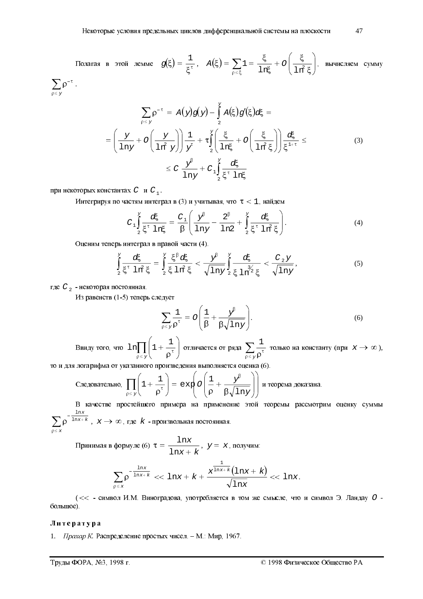Полагая в этой лемме  $g(\xi) = \frac{1}{\xi^{\tau}}$ ,  $A(\xi) = \sum_{\rho \le \xi} 1 = \frac{\xi}{\ln \xi} + O\left(\frac{\xi}{\ln^2 \xi}\right)$ , вычисляем сумму  $\sum_{\rho \leq y} \rho^{-\tau}$ .

$$
\sum_{p \leq y} p^{-\tau} = A(y)g(y) - \int_{2}^{y} A(\xi)g'(\xi)d\xi =
$$
\n
$$
= \left(\frac{y}{\ln y} + O\left(\frac{y}{\ln^{2} y}\right)\right)\frac{1}{y^{\tau}} + \tau \int_{2}^{y} \left(\frac{\xi}{\ln \xi} + O\left(\frac{\xi}{\ln^{2} \xi}\right)\right)\frac{d\xi}{\xi^{1+\tau}} \leq
$$
\n
$$
\leq C \frac{y^{\beta}}{\ln y} + C_{1} \int_{2}^{y} \frac{d\xi}{\xi^{\tau} \ln \xi}
$$
\n(3)

при некоторых константах  $C$  и  $C_1$ .

Интегрируя по частям интеграл в (3) и учитывая, что  $\tau < 1$ , найдем

$$
C_{1} \int_{2}^{Y} \frac{d\xi}{\xi^{\tau} \ln \xi} = \frac{C_{1}}{\beta} \left( \frac{y^{\beta}}{\ln y} - \frac{2^{\beta}}{\ln 2} + \int_{2}^{Y} \frac{d\xi}{\xi^{\tau} \ln^{2} \xi} \right).
$$
 (4)

Оценим теперь интеграл в правой части (4).

$$
\int_{2}^{Y} \frac{d\xi}{\xi^{\tau} \ln^{2} \xi} = \int_{2}^{Y} \frac{\xi^{\beta} d\xi}{\xi \ln^{2} \xi} < \frac{Y^{\beta}}{\sqrt{\ln Y}} \int_{2}^{Y} \frac{d\xi}{\xi \ln^{3/2} \xi} < \frac{C_{2}Y}{\sqrt{\ln Y}},
$$
\n(5)

где  $C_2$  - некоторая постоянная.

Из равенств (1-5) теперь следует

$$
\sum_{\rho \leq y} \frac{1}{\rho^{\tau}} = O\left(\frac{1}{\beta} + \frac{y^{\beta}}{\beta \sqrt{\ln y}}\right).
$$
 (6)

Ввиду того, что  $\ln \prod_{\rho \leq y} \left(1 + \frac{1}{\rho^{\tau}}\right)$  отличается от ряда  $\sum_{\rho \leq y} \frac{1}{\rho^{\tau}}$  только на константу (при  $x \to \infty$ ),

то и для логарифма от указанного произведения выполняется оценка (6).

Следовательно, 
$$
\prod_{\rho \le y} \left(1 + \frac{1}{\rho^{\tau}}\right) = \exp\left(\frac{1}{\rho} + \frac{y^{\beta}}{\beta \sqrt{\ln y}}\right)
$$
 и теорема доказана.

В качестве простейшего примера на применение этой теоремы рассмотрим оценку суммы  $\sum_{n \leq x} \rho^{-\frac{1}{\ln x + k}}$ ,  $x \to \infty$ , где  $k$  - произвольная постоянная.

$$
\sum_{\substack{0 \leq x}} P \qquad , \qquad A \qquad \qquad \text{or} \qquad A \qquad \text{or} \qquad A
$$

Принимая в формуле (6)  $\tau = \frac{\ln x}{\ln x + k}$ ,  $y = x$ , получим:

$$
\sum_{\rho \leq x} \rho^{-\frac{\ln x}{\ln x + k}} \ll 1
$$
nx + k +  $\frac{x^{\frac{1}{\ln x + k}} (\ln x + k)}{\sqrt{\ln x}} \ll 1$ nx.

(<< - символ И.М. Виноградова, употребляется в том же смысле, что и символ Э. Ландау О большое).

#### Литература

1. Прахар К. Распределение простых чисел. - М.: Мир, 1967.

Труды ФОРА, №3, 1998 г.